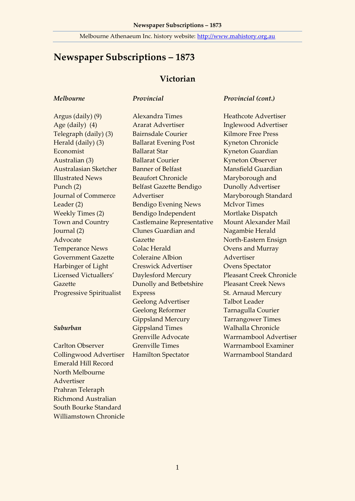### Melbourne Athenaeum Inc. history website: [http://www.mahistory.org.au](http://www.mahistory.org.au/)

# **Newspaper Subscriptions – 1873**

### **Victorian**

#### *Melbourne*

#### *Provincial*

Argus (daily) (9) Age (daily) (4) Telegraph (daily) (3) Herald (daily) (3) Economist Australian (3) Australasian Sketcher Illustrated News Punch (2) Journal of Commerce Leader (2) Weekly Times (2) Town and Country Journal (2) Advocate Temperance News Government Gazette Harbinger of Light Licensed Victuallers' Gazette Progressive Spiritualist

#### *Suburban*

Carlton Observer Collingwood Advertiser Emerald Hill Record North Melbourne Advertiser Prahran Teleraph Richmond Australian South Bourke Standard Williamstown Chronicle Alexandra Times Ararat Advertiser Bairnsdale Courier Ballarat Evening Post Ballarat Star Ballarat Courier Banner of Belfast Beaufort Chronicle Belfast Gazette Bendigo Advertiser Bendigo Evening News Bendigo Independent Castlemaine Representative Clunes Guardian and Gazette Colac Herald Coleraine Albion Creswick Advertiser Daylesford Mercury Dunolly and Betbetshire Express Geelong Advertiser Geelong Reformer Gippsland Mercury Gippsland Times Grenville Advocate Grenville Times Hamilton Spectator

#### *Provincial (cont.)*

Heathcote Advertiser Inglewood Advertiser Kilmore Free Press Kyneton Chronicle Kyneton Guardian Kyneton Observer Mansfield Guardian Maryborough and Dunolly Advertiser Maryborough Standard McIvor Times Mortlake Dispatch Mount Alexander Mail Nagambie Herald North-Eastern Ensign Ovens and Murray Advertiser Ovens Spectator Pleasant Creek Chronicle Pleasant Creek News St. Arnaud Mercury Talbot Leader Tarnagulla Courier Tarrangower Times Walhalla Chronicle Warrnambool Advertiser Warrnambool Examiner Warrnambool Standard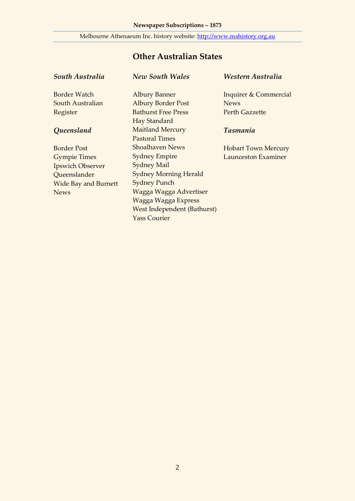### Melbourne Athenaeum Inc. history website: [http://www.mahistory.org.au](http://www.mahistory.org.au/)

## **Other Australian States**

*New South Wales*

### *South Australia*

Border Watch

South Australian Register

### *Queensland*

Border Post Gympie Times Ipswich Observer Queenslander Wide Bay and Burnett News

Albury Banner Albury Border Post Bathurst Free Press Hay Standard Maitland Mercury Pastoral Times Shoalhaven News Sydney Empire Sydney Mail Sydney Morning Herald Sydney Punch Wagga Wagga Advertiser Wagga Wagga Express West Independent (Bathurst) Yass Courier

### *Western Australia*

Inquirer & Commercial News Perth Gazzette

### *Tasmania*

Hobart Town Mercury Launceston Examiner